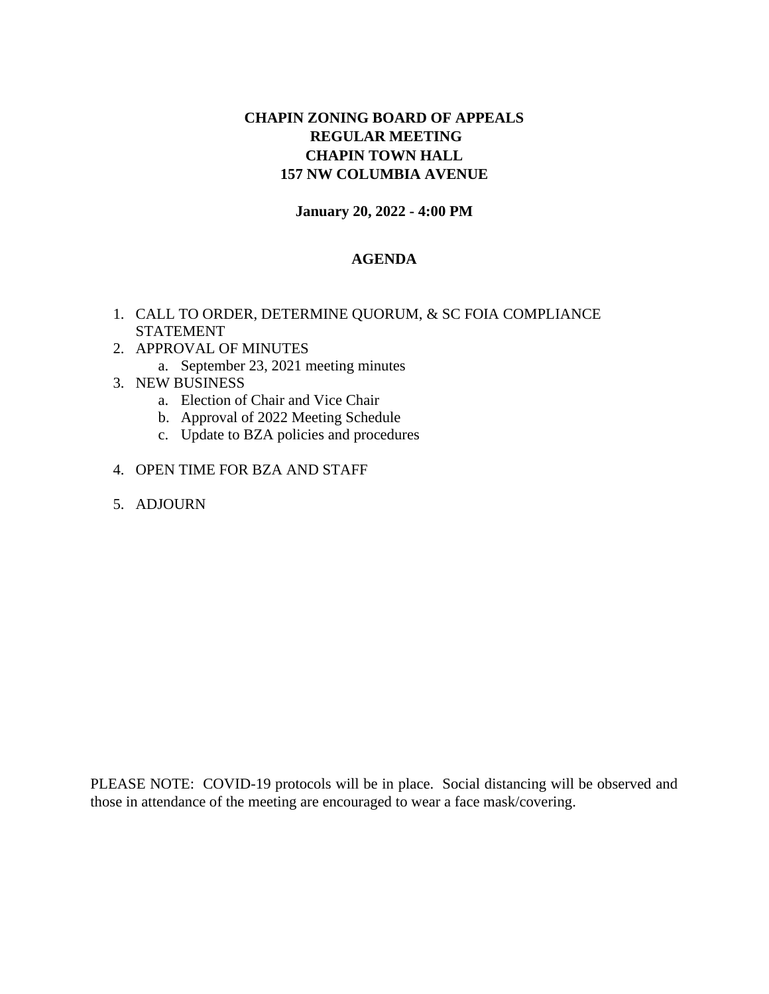## **CHAPIN ZONING BOARD OF APPEALS REGULAR MEETING CHAPIN TOWN HALL 157 NW COLUMBIA AVENUE**

#### **January 20, 2022 - 4:00 PM**

#### **AGENDA**

- 1. CALL TO ORDER, DETERMINE QUORUM, & SC FOIA COMPLIANCE STATEMENT
- 2. APPROVAL OF MINUTES
	- a. September 23, 2021 meeting minutes
- 3. NEW BUSINESS
	- a. Election of Chair and Vice Chair
	- b. Approval of 2022 Meeting Schedule
	- c. Update to BZA policies and procedures
- 4. OPEN TIME FOR BZA AND STAFF
- 5. ADJOURN

PLEASE NOTE: COVID-19 protocols will be in place. Social distancing will be observed and those in attendance of the meeting are encouraged to wear a face mask/covering.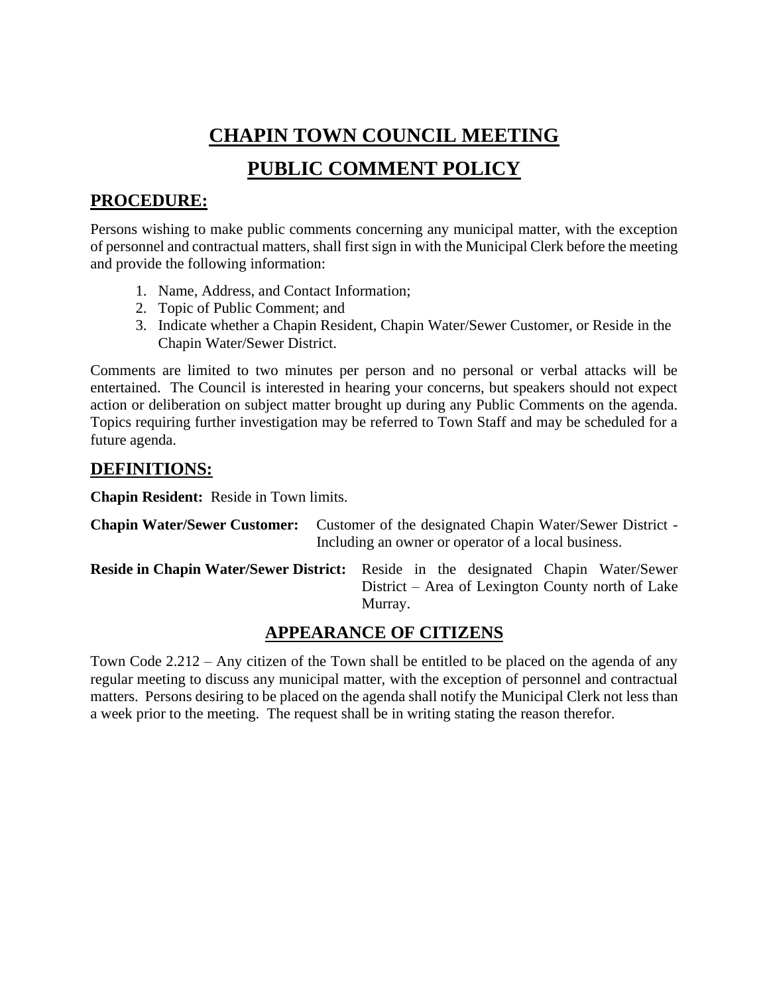# **CHAPIN TOWN COUNCIL MEETING**

# **PUBLIC COMMENT POLICY**

# **PROCEDURE:**

Persons wishing to make public comments concerning any municipal matter, with the exception of personnel and contractual matters, shall first sign in with the Municipal Clerk before the meeting and provide the following information:

- 1. Name, Address, and Contact Information;
- 2. Topic of Public Comment; and
- 3. Indicate whether a Chapin Resident, Chapin Water/Sewer Customer, or Reside in the Chapin Water/Sewer District.

Comments are limited to two minutes per person and no personal or verbal attacks will be entertained. The Council is interested in hearing your concerns, but speakers should not expect action or deliberation on subject matter brought up during any Public Comments on the agenda. Topics requiring further investigation may be referred to Town Staff and may be scheduled for a future agenda.

# **DEFINITIONS:**

**Chapin Resident:** Reside in Town limits.

| <b>Chapin Water/Sewer Customer:</b> Customer of the designated Chapin Water/Sewer District - |
|----------------------------------------------------------------------------------------------|
| Including an owner or operator of a local business.                                          |

**Reside in Chapin Water/Sewer District:** Reside in the designated Chapin Water/Sewer District – Area of Lexington County north of Lake Murray.

# **APPEARANCE OF CITIZENS**

Town Code 2.212 – Any citizen of the Town shall be entitled to be placed on the agenda of any regular meeting to discuss any municipal matter, with the exception of personnel and contractual matters. Persons desiring to be placed on the agenda shall notify the Municipal Clerk not less than a week prior to the meeting. The request shall be in writing stating the reason therefor.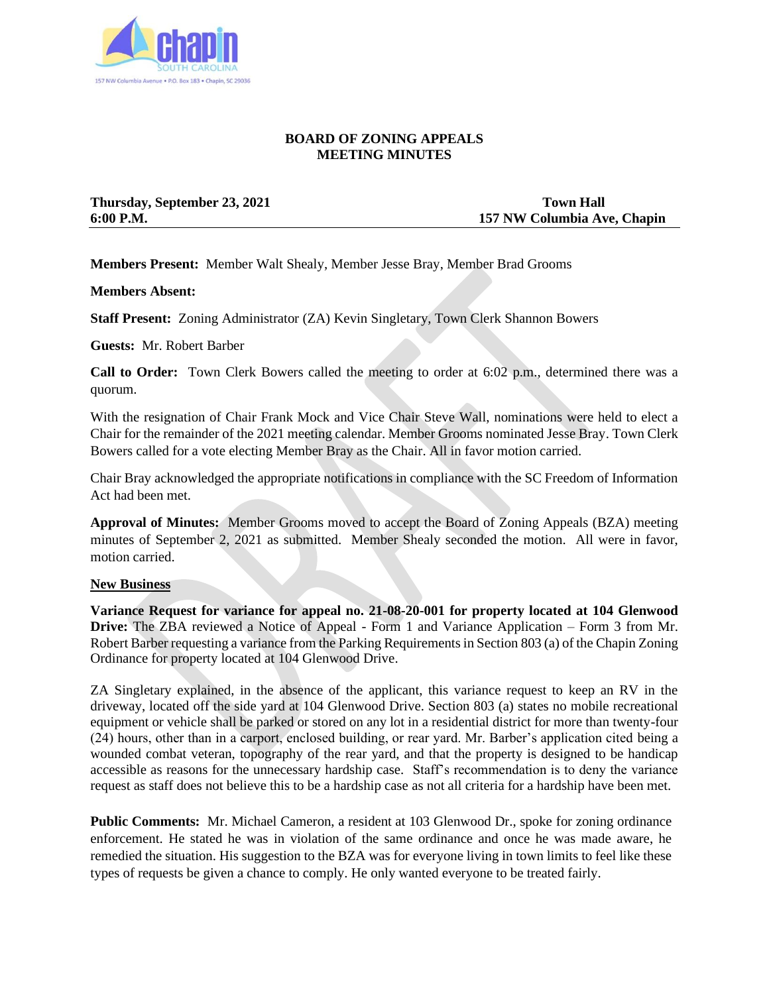

#### **BOARD OF ZONING APPEALS MEETING MINUTES**

**Thursday, September 23, 2021** Town Hall

**6:00 P.M. 157 NW Columbia Ave, Chapin**

**Members Present:** Member Walt Shealy, Member Jesse Bray, Member Brad Grooms

**Members Absent:**

**Staff Present:** Zoning Administrator (ZA) Kevin Singletary, Town Clerk Shannon Bowers

**Guests:** Mr. Robert Barber

**Call to Order:** Town Clerk Bowers called the meeting to order at 6:02 p.m., determined there was a quorum.

With the resignation of Chair Frank Mock and Vice Chair Steve Wall, nominations were held to elect a Chair for the remainder of the 2021 meeting calendar. Member Grooms nominated Jesse Bray. Town Clerk Bowers called for a vote electing Member Bray as the Chair. All in favor motion carried.

Chair Bray acknowledged the appropriate notifications in compliance with the SC Freedom of Information Act had been met.

**Approval of Minutes:** Member Grooms moved to accept the Board of Zoning Appeals (BZA) meeting minutes of September 2, 2021 as submitted. Member Shealy seconded the motion. All were in favor, motion carried.

#### **New Business**

**Variance Request for variance for appeal no. 21-08-20-001 for property located at 104 Glenwood Drive:** The ZBA reviewed a Notice of Appeal - Form 1 and Variance Application – Form 3 from Mr. Robert Barber requesting a variance from the Parking Requirements in Section 803 (a) of the Chapin Zoning Ordinance for property located at 104 Glenwood Drive.

ZA Singletary explained, in the absence of the applicant, this variance request to keep an RV in the driveway, located off the side yard at 104 Glenwood Drive. Section 803 (a) states no mobile recreational equipment or vehicle shall be parked or stored on any lot in a residential district for more than twenty-four (24) hours, other than in a carport, enclosed building, or rear yard. Mr. Barber's application cited being a wounded combat veteran, topography of the rear yard, and that the property is designed to be handicap accessible as reasons for the unnecessary hardship case. Staff's recommendation is to deny the variance request as staff does not believe this to be a hardship case as not all criteria for a hardship have been met.

**Public Comments:** Mr. Michael Cameron, a resident at 103 Glenwood Dr., spoke for zoning ordinance enforcement. He stated he was in violation of the same ordinance and once he was made aware, he remedied the situation. His suggestion to the BZA was for everyone living in town limits to feel like these types of requests be given a chance to comply. He only wanted everyone to be treated fairly.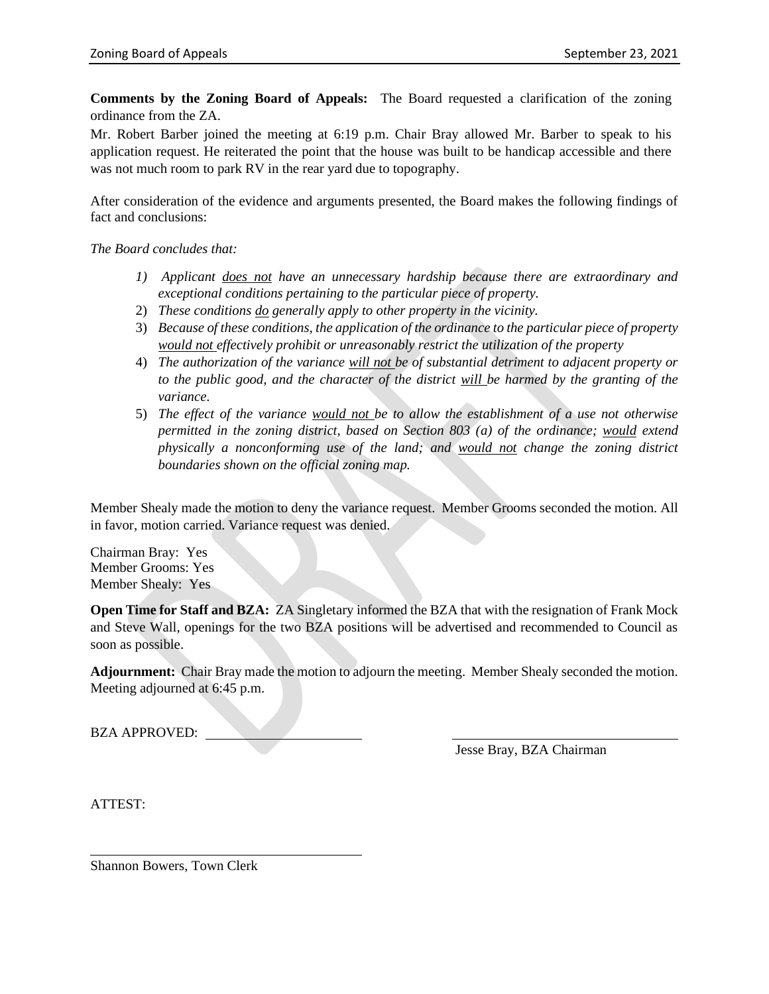**Comments by the Zoning Board of Appeals:** The Board requested a clarification of the zoning ordinance from the ZA.

Mr. Robert Barber joined the meeting at 6:19 p.m. Chair Bray allowed Mr. Barber to speak to his application request. He reiterated the point that the house was built to be handicap accessible and there was not much room to park RV in the rear yard due to topography.

After consideration of the evidence and arguments presented, the Board makes the following findings of fact and conclusions:

*The Board concludes that:*

- *1) Applicant does not have an unnecessary hardship because there are extraordinary and exceptional conditions pertaining to the particular piece of property.*
- 2) *These conditions do generally apply to other property in the vicinity.*
- 3) *Because of these conditions, the application of the ordinance to the particular piece of property would not effectively prohibit or unreasonably restrict the utilization of the property*
- 4) *The authorization of the variance will not be of substantial detriment to adjacent property or to the public good, and the character of the district will be harmed by the granting of the variance.*
- 5) *The effect of the variance would not be to allow the establishment of a use not otherwise permitted in the zoning district, based on Section 803 (a) of the ordinance; would extend physically a nonconforming use of the land; and would not change the zoning district boundaries shown on the official zoning map.*

Member Shealy made the motion to deny the variance request. Member Grooms seconded the motion. All in favor, motion carried. Variance request was denied.

Chairman Bray: Yes Member Grooms: Yes Member Shealy: Yes

**Open Time for Staff and BZA:** ZA Singletary informed the BZA that with the resignation of Frank Mock and Steve Wall, openings for the two BZA positions will be advertised and recommended to Council as soon as possible.

**Adjournment:** Chair Bray made the motion to adjourn the meeting. Member Shealy seconded the motion. Meeting adjourned at 6:45 p.m.

BZA APPROVED:

Jesse Bray, BZA Chairman

ATTEST:

Shannon Bowers, Town Clerk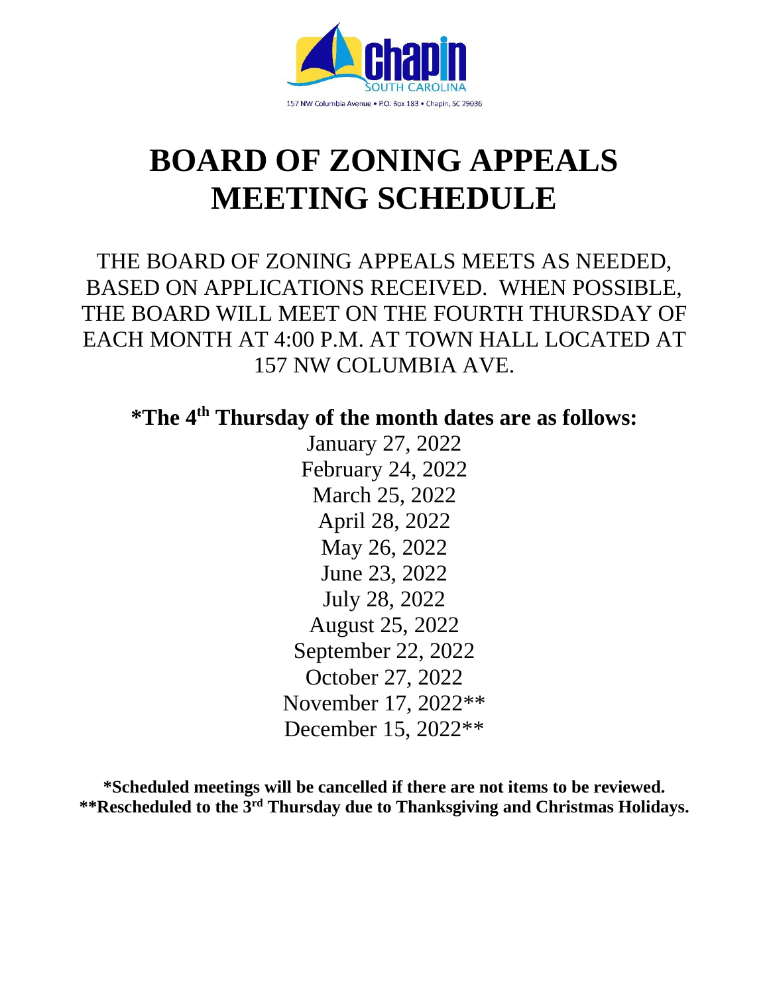

# **BOARD OF ZONING APPEALS MEETING SCHEDULE**

THE BOARD OF ZONING APPEALS MEETS AS NEEDED, BASED ON APPLICATIONS RECEIVED. WHEN POSSIBLE, THE BOARD WILL MEET ON THE FOURTH THURSDAY OF EACH MONTH AT 4:00 P.M. AT TOWN HALL LOCATED AT 157 NW COLUMBIA AVE.

**\*The 4th Thursday of the month dates are as follows:**

January 27, 2022 February 24, 2022 March 25, 2022 April 28, 2022 May 26, 2022 June 23, 2022 July 28, 2022 August 25, 2022 September 22, 2022 October 27, 2022 November 17, 2022\*\* December 15, 2022\*\*

**\*Scheduled meetings will be cancelled if there are not items to be reviewed. \*\*Rescheduled to the 3 rd Thursday due to Thanksgiving and Christmas Holidays.**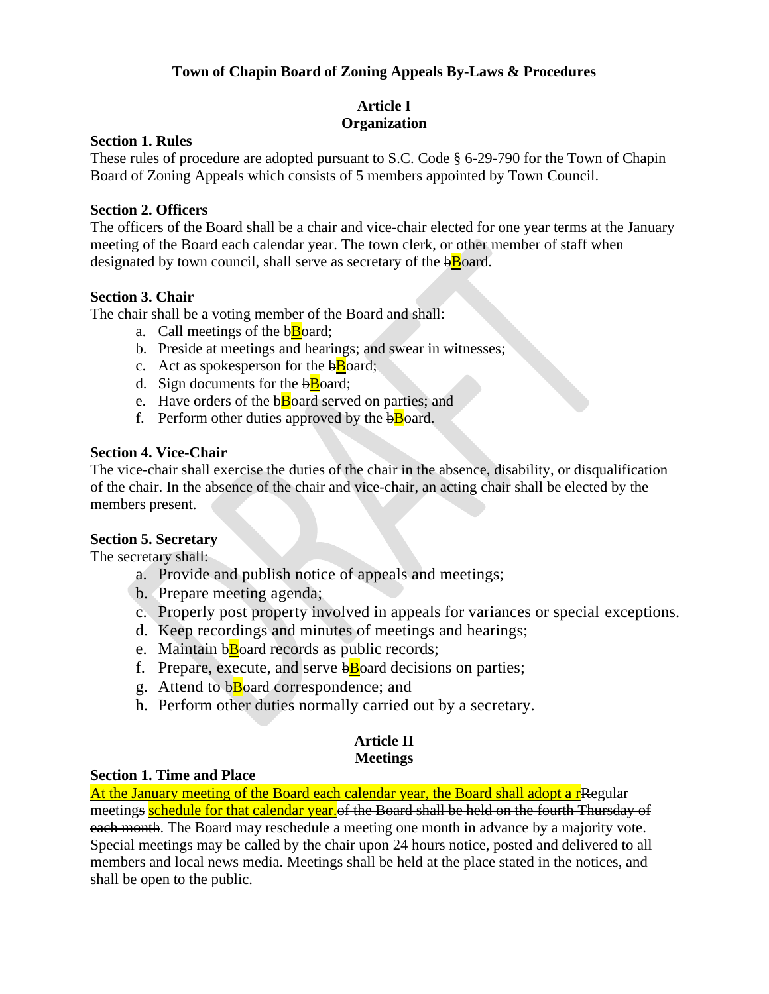#### **Town of Chapin Board of Zoning Appeals By-Laws & Procedures**

## **Article I Organization**

#### **Section 1. Rules**

These rules of procedure are adopted pursuant to S.C. Code § 6-29-790 for the Town of Chapin Board of Zoning Appeals which consists of 5 members appointed by Town Council.

#### **Section 2. Officers**

The officers of the Board shall be a chair and vice-chair elected for one year terms at the January meeting of the Board each calendar year. The town clerk, or other member of staff when designated by town council, shall serve as secretary of the  $b\bar{B}$ oard.

#### **Section 3. Chair**

The chair shall be a voting member of the Board and shall:

- a. Call meetings of the  $b\overline{B}$ oard;
- b. Preside at meetings and hearings; and swear in witnesses;
- c. Act as spokesperson for the  $b\overline{B}$ oard;
- d. Sign documents for the  $b\overline{B}$ oard;
- e. Have orders of the  $b\bar{B}$  oard served on parties; and
- f. Perform other duties approved by the  $b\bar{B}$ oard.

#### **Section 4. Vice-Chair**

The vice-chair shall exercise the duties of the chair in the absence, disability, or disqualification of the chair. In the absence of the chair and vice-chair, an acting chair shall be elected by the members present.

#### **Section 5. Secretary**

The secretary shall:

- a. Provide and publish notice of appeals and meetings;
- b. Prepare meeting agenda;
- c. Properly post property involved in appeals for variances or special exceptions.
- d. Keep recordings and minutes of meetings and hearings;
- e. Maintain b**B**oard records as public records;
- f. Prepare, execute, and serve  $b\bar{B}$  oard decisions on parties;
- g. Attend to  $\overline{b}$ Board correspondence; and
- h. Perform other duties normally carried out by a secretary.

#### **Article II Meetings**

#### **Section 1. Time and Place**

At the January meeting of the Board each calendar year, the Board shall adopt a r<sub>Regular</sub> meetings schedule for that calendar year. of the Board shall be held on the fourth Thursday of each month. The Board may reschedule a meeting one month in advance by a majority vote. Special meetings may be called by the chair upon 24 hours notice, posted and delivered to all members and local news media. Meetings shall be held at the place stated in the notices, and shall be open to the public.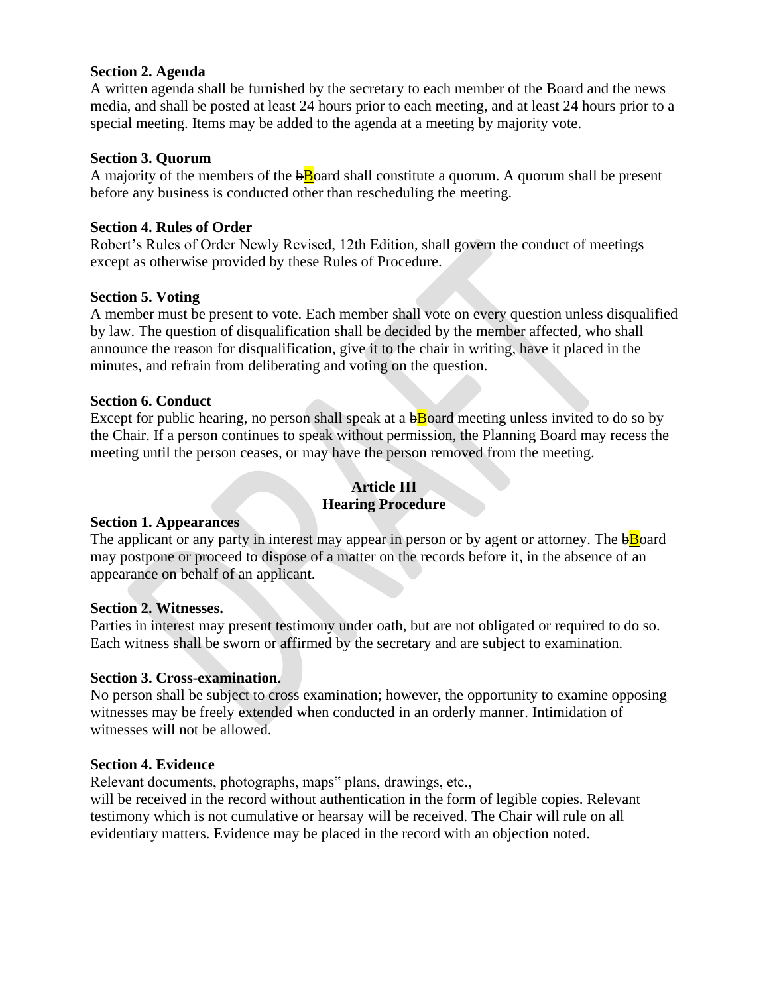#### **Section 2. Agenda**

A written agenda shall be furnished by the secretary to each member of the Board and the news media, and shall be posted at least 24 hours prior to each meeting, and at least 24 hours prior to a special meeting. Items may be added to the agenda at a meeting by majority vote.

#### **Section 3. Quorum**

A majority of the members of the  $b$ Board shall constitute a quorum. A quorum shall be present before any business is conducted other than rescheduling the meeting.

#### **Section 4. Rules of Order**

Robert's Rules of Order Newly Revised, 12th Edition, shall govern the conduct of meetings except as otherwise provided by these Rules of Procedure.

#### **Section 5. Voting**

A member must be present to vote. Each member shall vote on every question unless disqualified by law. The question of disqualification shall be decided by the member affected, who shall announce the reason for disqualification, give it to the chair in writing, have it placed in the minutes, and refrain from deliberating and voting on the question.

#### **Section 6. Conduct**

Except for public hearing, no person shall speak at a  $\overline{b}$  board meeting unless invited to do so by the Chair. If a person continues to speak without permission, the Planning Board may recess the meeting until the person ceases, or may have the person removed from the meeting.

#### **Article III Hearing Procedure**

#### **Section 1. Appearances**

The applicant or any party in interest may appear in person or by agent or attorney. The  $\overline{b}$  board may postpone or proceed to dispose of a matter on the records before it, in the absence of an appearance on behalf of an applicant.

#### **Section 2. Witnesses.**

Parties in interest may present testimony under oath, but are not obligated or required to do so. Each witness shall be sworn or affirmed by the secretary and are subject to examination.

#### **Section 3. Cross-examination.**

No person shall be subject to cross examination; however, the opportunity to examine opposing witnesses may be freely extended when conducted in an orderly manner. Intimidation of witnesses will not be allowed.

#### **Section 4. Evidence**

Relevant documents, photographs, maps" plans, drawings, etc.,

will be received in the record without authentication in the form of legible copies. Relevant testimony which is not cumulative or hearsay will be received. The Chair will rule on all evidentiary matters. Evidence may be placed in the record with an objection noted.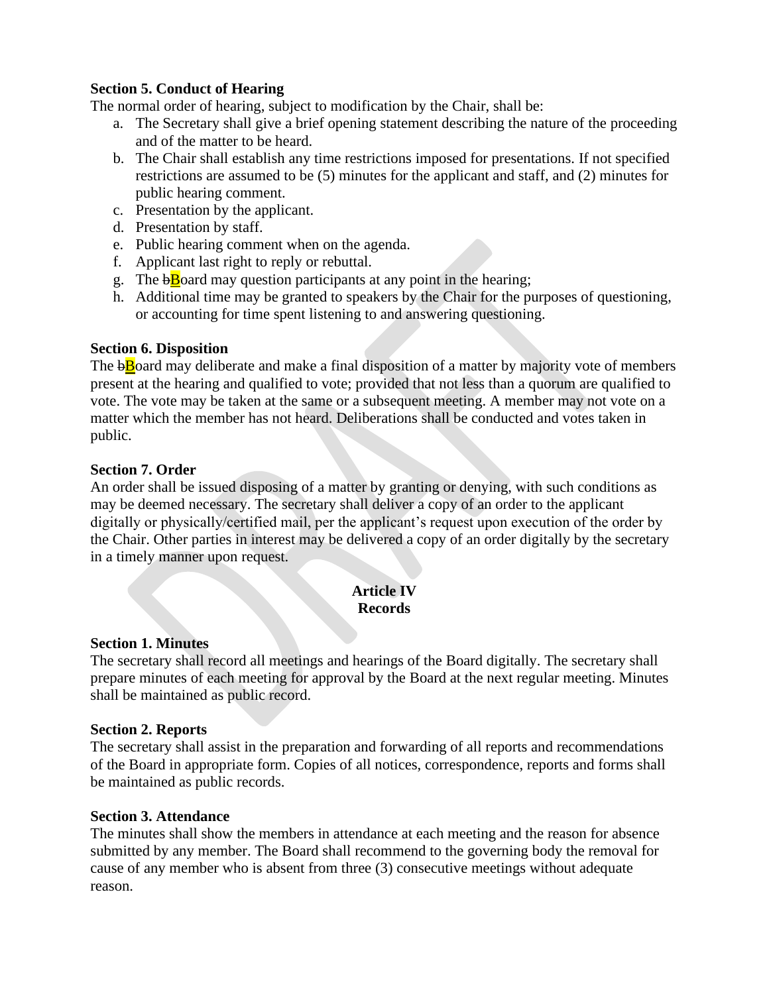#### **Section 5. Conduct of Hearing**

The normal order of hearing, subject to modification by the Chair, shall be:

- a. The Secretary shall give a brief opening statement describing the nature of the proceeding and of the matter to be heard.
- b. The Chair shall establish any time restrictions imposed for presentations. If not specified restrictions are assumed to be (5) minutes for the applicant and staff, and (2) minutes for public hearing comment.
- c. Presentation by the applicant.
- d. Presentation by staff.
- e. Public hearing comment when on the agenda.
- f. Applicant last right to reply or rebuttal.
- g. The  $\overline{b}$  Doard may question participants at any point in the hearing;
- h. Additional time may be granted to speakers by the Chair for the purposes of questioning, or accounting for time spent listening to and answering questioning.

#### **Section 6. Disposition**

The  $b\bar{B}$  and may deliberate and make a final disposition of a matter by majority vote of members present at the hearing and qualified to vote; provided that not less than a quorum are qualified to vote. The vote may be taken at the same or a subsequent meeting. A member may not vote on a matter which the member has not heard. Deliberations shall be conducted and votes taken in public.

#### **Section 7. Order**

An order shall be issued disposing of a matter by granting or denying, with such conditions as may be deemed necessary. The secretary shall deliver a copy of an order to the applicant digitally or physically/certified mail, per the applicant's request upon execution of the order by the Chair. Other parties in interest may be delivered a copy of an order digitally by the secretary in a timely manner upon request.

#### **Article IV Records**

#### **Section 1. Minutes**

The secretary shall record all meetings and hearings of the Board digitally. The secretary shall prepare minutes of each meeting for approval by the Board at the next regular meeting. Minutes shall be maintained as public record.

#### **Section 2. Reports**

The secretary shall assist in the preparation and forwarding of all reports and recommendations of the Board in appropriate form. Copies of all notices, correspondence, reports and forms shall be maintained as public records.

#### **Section 3. Attendance**

The minutes shall show the members in attendance at each meeting and the reason for absence submitted by any member. The Board shall recommend to the governing body the removal for cause of any member who is absent from three (3) consecutive meetings without adequate reason.